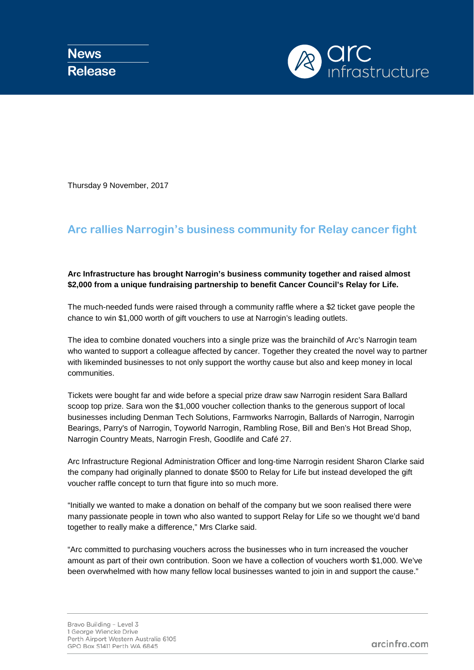

Thursday 9 November, 2017

## **Arc rallies Narrogin's business community for Relay cancer fight**

## **Arc Infrastructure has brought Narrogin's business community together and raised almost \$2,000 from a unique fundraising partnership to benefit Cancer Council's Relay for Life.**

The much-needed funds were raised through a community raffle where a \$2 ticket gave people the chance to win \$1,000 worth of gift vouchers to use at Narrogin's leading outlets.

The idea to combine donated vouchers into a single prize was the brainchild of Arc's Narrogin team who wanted to support a colleague affected by cancer. Together they created the novel way to partner with likeminded businesses to not only support the worthy cause but also and keep money in local communities.

Tickets were bought far and wide before a special prize draw saw Narrogin resident Sara Ballard scoop top prize. Sara won the \$1,000 voucher collection thanks to the generous support of local businesses including Denman Tech Solutions, Farmworks Narrogin, Ballards of Narrogin, Narrogin Bearings, Parry's of Narrogin, Toyworld Narrogin, Rambling Rose, Bill and Ben's Hot Bread Shop, Narrogin Country Meats, Narrogin Fresh, Goodlife and Café 27.

Arc Infrastructure Regional Administration Officer and long-time Narrogin resident Sharon Clarke said the company had originally planned to donate \$500 to Relay for Life but instead developed the gift voucher raffle concept to turn that figure into so much more.

"Initially we wanted to make a donation on behalf of the company but we soon realised there were many passionate people in town who also wanted to support Relay for Life so we thought we'd band together to really make a difference," Mrs Clarke said.

"Arc committed to purchasing vouchers across the businesses who in turn increased the voucher amount as part of their own contribution. Soon we have a collection of vouchers worth \$1,000. We've been overwhelmed with how many fellow local businesses wanted to join in and support the cause."